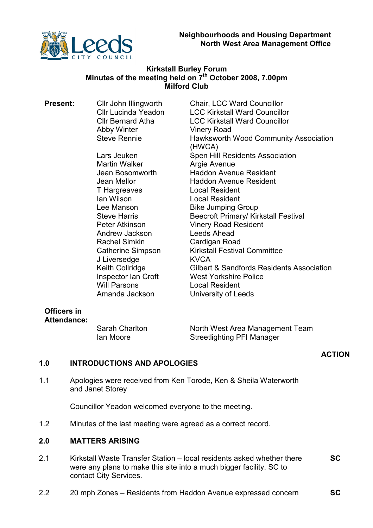

# Kirkstall Burley Forum Minutes of the meeting held on 7<sup>th</sup> October 2008, 7.00pm Milford Club

**Present:** Cllr John Illingworth Chair, LCC Ward Councillor Abby Winter **Vinery Road** 

> Martin Walker **Argie Avenue** T Hargreaves<br>
> Ian Wilson Local Resident Andrew Jackson Leeds Ahead Rachel Simkin Cardigan Road J Liversedge KVCA

Cllr Lucinda Yeadon LCC Kirkstall Ward Councillor Cllr Bernard Atha LCC Kirkstall Ward Councillor Steve Rennie **Hawksworth Wood Community Association** (HWCA) Lars Jeuken Spen Hill Residents Association Jean Bosomworth Haddon Avenue Resident Jean Mellor Haddon Avenue Resident Local Resident Lee Manson Bike Jumping Group Steve Harris Beecroft Primary/ Kirkstall Festival Peter Atkinson Vinery Road Resident Catherine Simpson Kirkstall Festival Committee Keith Collridge **Gilbert & Sandfords Residents Association** Inspector Ian Croft<br>
West Yorkshire Police<br>
Will Parsons<br>
Local Resident Local Resident Amanda Jackson University of Leeds

# Officers in Attendance:

Sarah Charlton North West Area Management Team Ian Moore Streetlighting PFI Manager

# ACTION

## 1.0 INTRODUCTIONS AND APOLOGIES

1.1 Apologies were received from Ken Torode, Ken & Sheila Waterworth and Janet Storey

Councillor Yeadon welcomed everyone to the meeting.

1.2 Minutes of the last meeting were agreed as a correct record.

#### 2.0 MATTERS ARISING

- 2.1 Kirkstall Waste Transfer Station – local residents asked whether there were any plans to make this site into a much bigger facility. SC to contact City Services.  $SC<sub>c</sub>$
- 2.2 20 mph Zones – Residents from Haddon Avenue expressed concern **SC**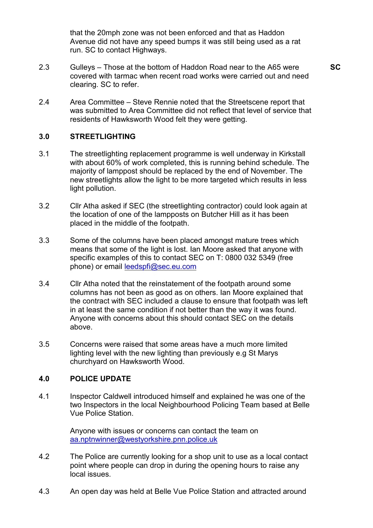that the 20mph zone was not been enforced and that as Haddon Avenue did not have any speed bumps it was still being used as a rat run. SC to contact Highways.

2.3 Gulleys – Those at the bottom of Haddon Road near to the A65 were covered with tarmac when recent road works were carried out and need clearing. SC to refer.

**SC** 

2.4 Area Committee – Steve Rennie noted that the Streetscene report that was submitted to Area Committee did not reflect that level of service that residents of Hawksworth Wood felt they were getting.

#### 3.0 **STREETLIGHTING**

- 3.1 The streetlighting replacement programme is well underway in Kirkstall with about 60% of work completed, this is running behind schedule. The majority of lamppost should be replaced by the end of November. The new streetlights allow the light to be more targeted which results in less light pollution.
- 3.2 Cllr Atha asked if SEC (the streetlighting contractor) could look again at the location of one of the lampposts on Butcher Hill as it has been placed in the middle of the footpath.
- 3.3 Some of the columns have been placed amongst mature trees which means that some of the light is lost. Ian Moore asked that anyone with specific examples of this to contact SEC on T: 0800 032 5349 (free phone) or email **leedspfi@sec.eu.com**
- 3.4 Cllr Atha noted that the reinstatement of the footpath around some columns has not been as good as on others. Ian Moore explained that the contract with SEC included a clause to ensure that footpath was left in at least the same condition if not better than the way it was found. Anyone with concerns about this should contact SEC on the details above.
- 3.5 Concerns were raised that some areas have a much more limited lighting level with the new lighting than previously e.g St Marys churchyard on Hawksworth Wood.

#### 4.0 POLICE UPDATE

4.1 Inspector Caldwell introduced himself and explained he was one of the two Inspectors in the local Neighbourhood Policing Team based at Belle Vue Police Station.

> Anyone with issues or concerns can contact the team on aa.nptnwinner@westyorkshire.pnn.police.uk

- 4.2 The Police are currently looking for a shop unit to use as a local contact point where people can drop in during the opening hours to raise any local issues.
- 4.3 An open day was held at Belle Vue Police Station and attracted around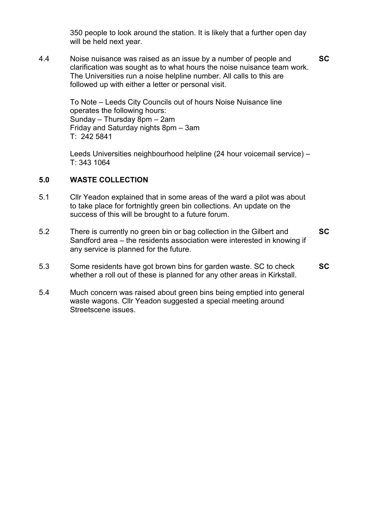350 people to look around the station. It is likely that a further open day will be held next year.

4.4 Noise nuisance was raised as an issue by a number of people and clarification was sought as to what hours the noise nuisance team work. The Universities run a noise helpline number. All calls to this are followed up with either a letter or personal visit. SC

> To Note – Leeds City Councils out of hours Noise Nuisance line operates the following hours: Sunday – Thursday 8pm – 2am Friday and Saturday nights 8pm – 3am T: 242 5841

Leeds Universities neighbourhood helpline (24 hour voicemail service) – T: 343 1064

#### 5.0 WASTE COLLECTION

- 5.1 Cllr Yeadon explained that in some areas of the ward a pilot was about to take place for fortnightly green bin collections. An update on the success of this will be brought to a future forum.
- 5.2 There is currently no green bin or bag collection in the Gilbert and Sandford area – the residents association were interested in knowing if any service is planned for the future. **SC**
- 5.3 Some residents have got brown bins for garden waste. SC to check whether a roll out of these is planned for any other areas in Kirkstall. **SC**
- 5.4 Much concern was raised about green bins being emptied into general waste wagons. Cllr Yeadon suggested a special meeting around Streetscene issues.